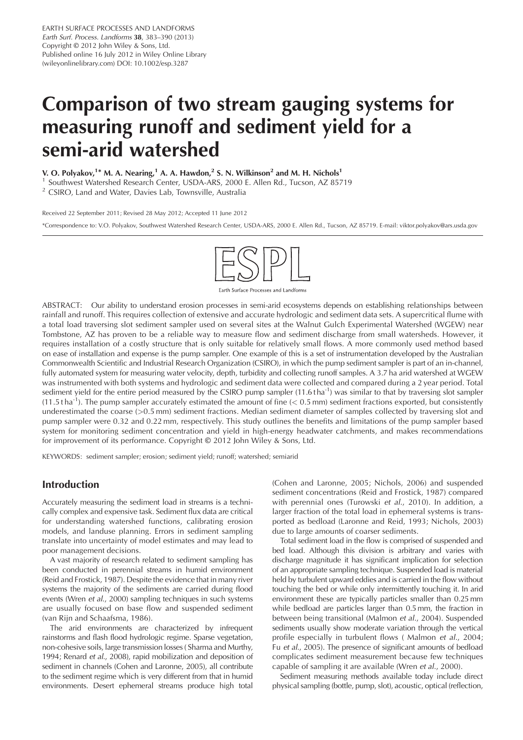EARTH SURFACE PROCESSES AND LANDFORMS Earth Surf. Process. Landforms 38, 383–390 (2013) Copyright © 2012 John Wiley & Sons, Ltd. Published online 16 July 2012 in Wiley Online Library (wileyonlinelibrary.com) DOI: 10.1002/esp.3287

# Comparison of two stream gauging systems for measuring runoff and sediment yield for a semi-arid watershed

V. O. Polyakov,<sup>1\*</sup> M. A. Nearing,<sup>1</sup> A. A. Hawdon,<sup>2</sup> S. N. Wilkinson<sup>2</sup> and M. H. Nichols<sup>1</sup>

<sup>1</sup> Southwest Watershed Research Center, USDA-ARS, 2000 E. Allen Rd., Tucson, AZ 85719<sup>2</sup> CSIRO, Land and Water, Davies Lab, Townsville, Australia

#### Received 22 September 2011; Revised 28 May 2012; Accepted 11 June 2012

\*Correspondence to: V.O. Polyakov, Southwest Watershed Research Center, USDA-ARS, 2000 E. Allen Rd., Tucson, AZ 85719. E-mail: viktor.polyakov@ars.usda.gov



**Farth Surface Processes and Landforms** 

ABSTRACT: Our ability to understand erosion processes in semi-arid ecosystems depends on establishing relationships between rainfall and runoff. This requires collection of extensive and accurate hydrologic and sediment data sets. A supercritical flume with a total load traversing slot sediment sampler used on several sites at the Walnut Gulch Experimental Watershed (WGEW) near Tombstone, AZ has proven to be a reliable way to measure flow and sediment discharge from small watersheds. However, it requires installation of a costly structure that is only suitable for relatively small flows. A more commonly used method based on ease of installation and expense is the pump sampler. One example of this is a set of instrumentation developed by the Australian Commonwealth Scientific and Industrial Research Organization (CSIRO), in which the pump sediment sampler is part of an in-channel, fully automated system for measuring water velocity, depth, turbidity and collecting runoff samples. A 3.7 ha arid watershed at WGEW was instrumented with both systems and hydrologic and sediment data were collected and compared during a 2 year period. Total sediment vield for the entire period measured by the CSIRO pump sampler  $(11.6 \text{ tha}^{-1})$  was similar to that by traversing slot sampler  $(11.5 t \text{ ha}^{-1})$ . The pump sampler accurately estimated the amount of fine  $(< 0.5$  mm) sediment fractions exported, but consistently underestimated the coarse (>0.5 mm) sediment fractions. Median sediment diameter of samples collected by traversing slot and pump sampler were 0.32 and 0.22 mm, respectively. This study outlines the benefits and limitations of the pump sampler based system for monitoring sediment concentration and yield in high-energy headwater catchments, and makes recommendations for improvement of its performance. Copyright © 2012 John Wiley & Sons, Ltd.

KEYWORDS: sediment sampler; erosion; sediment yield; runoff; watershed; semiarid

# Introduction

Accurately measuring the sediment load in streams is a technically complex and expensive task. Sediment flux data are critical for understanding watershed functions, calibrating erosion models, and landuse planning. Errors in sediment sampling translate into uncertainty of model estimates and may lead to poor management decisions.

A vast majority of research related to sediment sampling has been conducted in perennial streams in humid environment (Reid and Frostick, 1987). Despite the evidence that in many river systems the majority of the sediments are carried during flood events (Wren et al., 2000) sampling techniques in such systems are usually focused on base flow and suspended sediment (van Rijn and Schaafsma, 1986).

The arid environments are characterized by infrequent rainstorms and flash flood hydrologic regime. Sparse vegetation, non-cohesive soils, large transmission losses ( Sharma and Murthy, 1994; Renard et al., 2008), rapid mobilization and deposition of sediment in channels (Cohen and Laronne, 2005), all contribute to the sediment regime which is very different from that in humid environments. Desert ephemeral streams produce high total (Cohen and Laronne, 2005; Nichols, 2006) and suspended sediment concentrations (Reid and Frostick, 1987) compared with perennial ones (Turowski et al., 2010). In addition, a larger fraction of the total load in ephemeral systems is transported as bedload (Laronne and Reid, 1993; Nichols, 2003) due to large amounts of coarser sediments.

Total sediment load in the flow is comprised of suspended and bed load. Although this division is arbitrary and varies with discharge magnitude it has significant implication for selection of an appropriate sampling technique. Suspended load is material held by turbulent upward eddies and is carried in the flow without touching the bed or while only intermittently touching it. In arid environment these are typically particles smaller than 0.25 mm while bedload are particles larger than 0.5 mm, the fraction in between being transitional (Malmon et al., 2004). Suspended sediments usually show moderate variation through the vertical profile especially in turbulent flows (Malmon et al., 2004; Fu et al., 2005). The presence of significant amounts of bedload complicates sediment measurement because few techniques capable of sampling it are available (Wren et al., 2000).

Sediment measuring methods available today include direct physical sampling (bottle, pump, slot), acoustic, optical (reflection,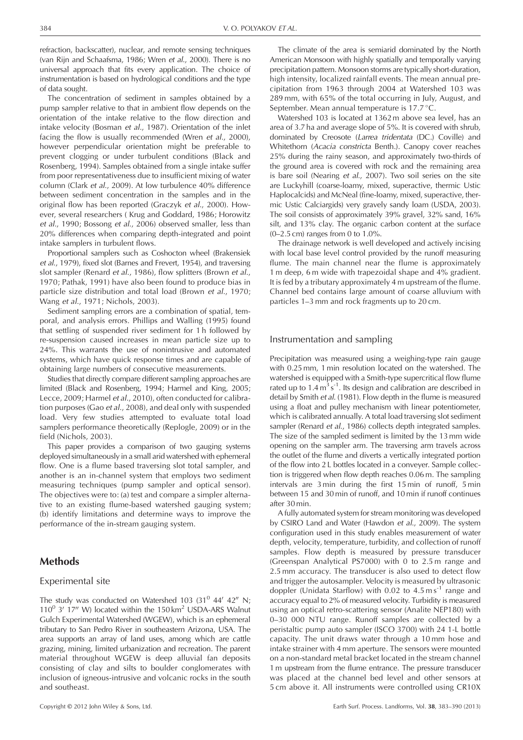refraction, backscatter), nuclear, and remote sensing techniques (van Rijn and Schaafsma, 1986; Wren et al., 2000). There is no universal approach that fits every application. The choice of instrumentation is based on hydrological conditions and the type of data sought.

The concentration of sediment in samples obtained by a pump sampler relative to that in ambient flow depends on the orientation of the intake relative to the flow direction and intake velocity (Bosman et al., 1987). Orientation of the inlet facing the flow is usually recommended (Wren *et al.*, 2000), however perpendicular orientation might be preferable to prevent clogging or under turbulent conditions (Black and Rosenberg, 1994). Samples obtained from a single intake suffer from poor representativeness due to insufficient mixing of water column (Clark et al., 2009). At low turbulence 40% difference between sediment concentration in the samples and in the original flow has been reported (Graczyk et al., 2000). However, several researchers ( Krug and Goddard, 1986; Horowitz et al., 1990; Bossong et al., 2006) observed smaller, less than 20% differences when comparing depth-integrated and point intake samplers in turbulent flows.

Proportional samplers such as Coshocton wheel (Brakensiek et al., 1979), fixed slot (Barnes and Frevert, 1954), and traversing slot sampler (Renard et al., 1986), flow splitters (Brown et al., 1970; Pathak, 1991) have also been found to produce bias in particle size distribution and total load (Brown et al., 1970; Wang et al., 1971; Nichols, 2003).

Sediment sampling errors are a combination of spatial, temporal, and analysis errors. Phillips and Walling (1995) found that settling of suspended river sediment for 1 h followed by re-suspension caused increases in mean particle size up to 24%. This warrants the use of nonintrusive and automated systems, which have quick response times and are capable of obtaining large numbers of consecutive measurements.

Studies that directly compare different sampling approaches are limited (Black and Rosenberg, 1994; Harmel and King, 2005; Lecce, 2009; Harmel et al., 2010), often conducted for calibration purposes (Gao et al., 2008), and deal only with suspended load. Very few studies attempted to evaluate total load samplers performance theoretically (Replogle, 2009) or in the field (Nichols, 2003).

This paper provides a comparison of two gauging systems deployed simultaneously in a small arid watershed with ephemeral flow. One is a flume based traversing slot total sampler, and another is an in-channel system that employs two sediment measuring techniques (pump sampler and optical sensor). The objectives were to: (a) test and compare a simpler alternative to an existing flume-based watershed gauging system; (b) identify limitations and determine ways to improve the performance of the in-stream gauging system.

# Methods

#### Experimental site

The study was conducted on Watershed 103  $(31^0 44' 42'' N;$  $110^0$  3' 17" W) located within the 150 km<sup>2</sup> USDA-ARS Walnut Gulch Experimental Watershed (WGEW), which is an ephemeral tributary to San Pedro River in southeastern Arizona, USA. The area supports an array of land uses, among which are cattle grazing, mining, limited urbanization and recreation. The parent material throughout WGEW is deep alluvial fan deposits consisting of clay and silts to boulder conglomerates with inclusion of igneous-intrusive and volcanic rocks in the south and southeast.

The climate of the area is semiarid dominated by the North American Monsoon with highly spatially and temporally varying precipitation pattern. Monsoon storms are typically short-duration, high intensity, localized rainfall events. The mean annual precipitation from 1963 through 2004 at Watershed 103 was 289 mm, with 65% of the total occurring in July, August, and September. Mean annual temperature is  $17.7^{\circ}$ C.

Watershed 103 is located at 1362 m above sea level, has an area of 3.7 ha and average slope of 5%. It is covered with shrub, dominated by Creosote (Larrea tridentata (DC.) Coville) and Whitethorn (Acacia constricta Benth.). Canopy cover reaches 25% during the rainy season, and approximately two-thirds of the ground area is covered with rock and the remaining area is bare soil (Nearing et al., 2007). Two soil series on the site are Luckyhill (coarse-loamy, mixed, superactive, thermic Ustic Haplocalcids) and McNeal (fine-loamy, mixed, superactive, thermic Ustic Calciargids) very gravely sandy loam (USDA, 2003). The soil consists of approximately 39% gravel, 32% sand, 16% silt, and 13% clay. The organic carbon content at the surface (0–2.5 cm) ranges from 0 to 1.0%.

The drainage network is well developed and actively incising with local base level control provided by the runoff measuring flume. The main channel near the flume is approximately 1 m deep, 6 m wide with trapezoidal shape and 4% gradient. It is fed by a tributary approximately 4 m upstream of the flume. Channel bed contains large amount of coarse alluvium with particles 1–3 mm and rock fragments up to 20 cm.

#### Instrumentation and sampling

Precipitation was measured using a weighing-type rain gauge with 0.25 mm, 1 min resolution located on the watershed. The watershed is equipped with a Smith-type supercritical flow flume rated up to  $1.4 \text{ m}^3 \text{ s}^{-1}$ . Its design and calibration are described in detail by Smith et al. (1981). Flow depth in the flume is measured using a float and pulley mechanism with linear potentiometer, which is calibrated annually. A total load traversing slot sediment sampler (Renard et al., 1986) collects depth integrated samples. The size of the sampled sediment is limited by the 13 mm wide opening on the sampler arm. The traversing arm travels across the outlet of the flume and diverts a vertically integrated portion of the flow into 2 L bottles located in a conveyer. Sample collection is triggered when flow depth reaches 0.06 m. The sampling intervals are 3 min during the first 15 min of runoff, 5 min between 15 and 30 min of runoff, and 10 min if runoff continues after 30 min.

A fully automated system for stream monitoring was developed by CSIRO Land and Water (Hawdon et al., 2009). The system configuration used in this study enables measurement of water depth, velocity, temperature, turbidity, and collection of runoff samples. Flow depth is measured by pressure transducer (Greenspan Analytical PS7000) with 0 to 2.5 m range and 2.5 mm accuracy. The transducer is also used to detect flow and trigger the autosampler. Velocity is measured by ultrasonic doppler (Unidata Starflow) with 0.02 to  $4.5 \text{ m s}^{-1}$  range and accuracy equal to 2% of measured velocity. Turbidity is measured using an optical retro-scattering sensor (Analite NEP180) with 0–30 000 NTU range. Runoff samples are collected by a peristaltic pump auto sampler (ISCO 3700) with 24 1-L bottle capacity. The unit draws water through a 10 mm hose and intake strainer with 4 mm aperture. The sensors were mounted on a non-standard metal bracket located in the stream channel 1 m upstream from the flume entrance. The pressure transducer was placed at the channel bed level and other sensors at 5 cm above it. All instruments were controlled using CR10X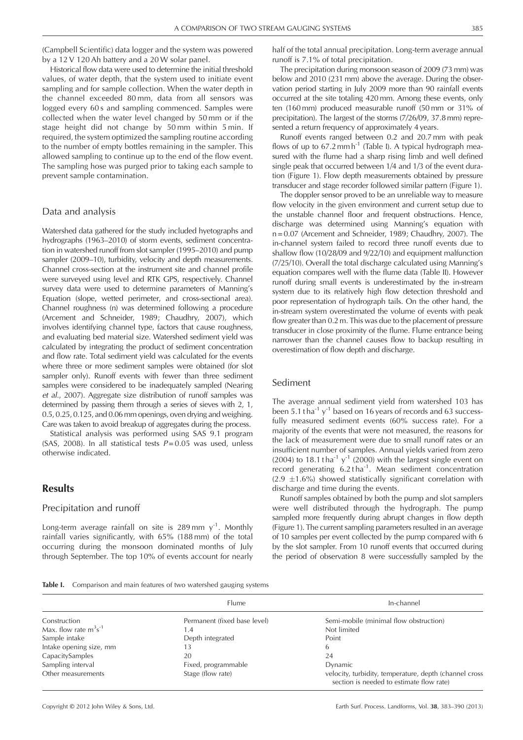(Campbell Scientific) data logger and the system was powered by a 12 V 120 Ah battery and a 20 W solar panel.

Historical flow data were used to determine the initial threshold values, of water depth, that the system used to initiate event sampling and for sample collection. When the water depth in the channel exceeded 80 mm, data from all sensors was logged every 60 s and sampling commenced. Samples were collected when the water level changed by 50 mm or if the stage height did not change by 50 mm within 5 min. If required, the system optimized the sampling routine according to the number of empty bottles remaining in the sampler. This allowed sampling to continue up to the end of the flow event. The sampling hose was purged prior to taking each sample to prevent sample contamination.

#### Data and analysis

Watershed data gathered for the study included hyetographs and hydrographs (1963–2010) of storm events, sediment concentration in watershed runoff from slot sampler (1995–2010) and pump sampler (2009–10), turbidity, velocity and depth measurements. Channel cross-section at the instrument site and channel profile were surveyed using level and RTK GPS, respectively. Channel survey data were used to determine parameters of Manning's Equation (slope, wetted perimeter, and cross-sectional area). Channel roughness (n) was determined following a procedure (Arcement and Schneider, 1989; Chaudhry, 2007), which involves identifying channel type, factors that cause roughness, and evaluating bed material size. Watershed sediment yield was calculated by integrating the product of sediment concentration and flow rate. Total sediment yield was calculated for the events where three or more sediment samples were obtained (for slot sampler only). Runoff events with fewer than three sediment samples were considered to be inadequately sampled (Nearing et al., 2007). Aggregate size distribution of runoff samples was determined by passing them through a series of sieves with 2, 1, 0.5, 0.25, 0.125, and 0.06mm openings, oven drying and weighing. Care was taken to avoid breakup of aggregates during the process.

Statistical analysis was performed using SAS 9.1 program (SAS, 2008). In all statistical tests  $P = 0.05$  was used, unless otherwise indicated.

### Results

#### Precipitation and runoff

Long-term average rainfall on site is 289 mm  $y^{-1}$ . Monthly rainfall varies significantly, with 65% (188 mm) of the total occurring during the monsoon dominated months of July through September. The top 10% of events account for nearly half of the total annual precipitation. Long-term average annual runoff is 7.1% of total precipitation.

The precipitation during monsoon season of 2009 (73 mm) was below and 2010 (231 mm) above the average. During the observation period starting in July 2009 more than 90 rainfall events occurred at the site totaling 420 mm. Among these events, only ten (160 mm) produced measurable runoff (50 mm or 31% of precipitation). The largest of the storms (7/26/09, 37.8mm) represented a return frequency of approximately 4 years.

Runoff events ranged between 0.2 and 20.7 mm with peak flows of up to  $67.2$  mm h<sup>-1</sup> (Table I). A typical hydrograph measured with the flume had a sharp rising limb and well defined single peak that occurred between 1/4 and 1/3 of the event duration (Figure 1). Flow depth measurements obtained by pressure transducer and stage recorder followed similar pattern (Figure 1).

The doppler sensor proved to be an unreliable way to measure flow velocity in the given environment and current setup due to the unstable channel floor and frequent obstructions. Hence, discharge was determined using Manning's equation with n = 0.07 (Arcement and Schneider, 1989; Chaudhry, 2007). The in-channel system failed to record three runoff events due to shallow flow (10/28/09 and 9/22/10) and equipment malfunction (7/25/10). Overall the total discharge calculated using Manning's equation compares well with the flume data (Table II). However runoff during small events is underestimated by the in-stream system due to its relatively high flow detection threshold and poor representation of hydrograph tails. On the other hand, the in-stream system overestimated the volume of events with peak flow greater than 0.2 m. This was due to the placement of pressure transducer in close proximity of the flume. Flume entrance being narrower than the channel causes flow to backup resulting in overestimation of flow depth and discharge.

#### Sediment

The average annual sediment yield from watershed 103 has been 5.1 t ha<sup>-1</sup> y<sup>-1</sup> based on 16 years of records and 63 successfully measured sediment events (60% success rate). For a majority of the events that were not measured, the reasons for the lack of measurement were due to small runoff rates or an insufficient number of samples. Annual yields varied from zero (2004) to 18.1 tha<sup>-1</sup> y<sup>-1</sup> (2000) with the largest single event on record generating  $6.2$  tha<sup>-1</sup>. Mean sediment concentration  $(2.9 \pm 1.6\%)$  showed statistically significant correlation with discharge and time during the events.

Runoff samples obtained by both the pump and slot samplers were well distributed through the hydrograph. The pump sampled more frequently during abrupt changes in flow depth (Figure 1). The current sampling parameters resulted in an average of 10 samples per event collected by the pump compared with 6 by the slot sampler. From 10 runoff events that occurred during the period of observation 8 were successfully sampled by the

Table I. Comparison and main features of two watershed gauging systems

|                            | <b>Flume</b>                 | In-channel                                                                                         |
|----------------------------|------------------------------|----------------------------------------------------------------------------------------------------|
| Construction               | Permanent (fixed base level) | Semi-mobile (minimal flow obstruction)                                                             |
| Max. flow rate $m^3s^{-1}$ | . .4                         | Not limited                                                                                        |
| Sample intake              | Depth integrated             | Point                                                                                              |
| Intake opening size, mm    | 13                           | 6                                                                                                  |
| CapacitySamples            | 20                           | 24                                                                                                 |
| Sampling interval          | Fixed, programmable          | Dynamic                                                                                            |
| Other measurements         | Stage (flow rate)            | velocity, turbidity, temperature, depth (channel cross<br>section is needed to estimate flow rate) |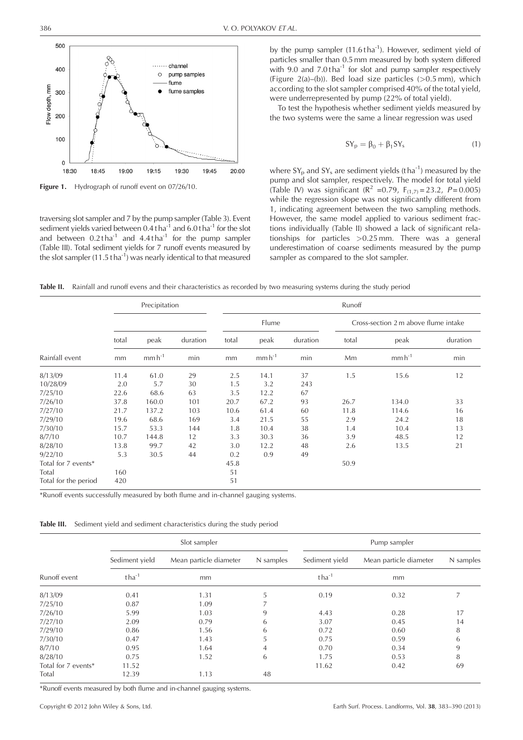

Figure 1. Hydrograph of runoff event on 07/26/10.

traversing slot sampler and 7 by the pump sampler (Table 3). Event sediment yields varied between  $0.4$  tha<sup>-1</sup> and  $6.0$  tha<sup>-1</sup> for the slot and between  $0.2$  tha<sup>-1</sup> and  $4.4$  tha<sup>-1</sup> for the pump sampler (Table III). Total sediment yields for 7 runoff events measured by the slot sampler  $(11.5 t \text{ ha}^{-1})$  was nearly identical to that measured

by the pump sampler  $(11.6 t \text{ ha}^{-1})$ . However, sediment yield of particles smaller than 0.5 mm measured by both system differed with 9.0 and  $7.0$  tha<sup>-1</sup> for slot and pump sampler respectively (Figure 2(a)–(b)). Bed load size particles  $(>0.5$  mm), which according to the slot sampler comprised 40% of the total yield, were underrepresented by pump (22% of total yield).

To test the hypothesis whether sediment yields measured by the two systems were the same a linear regression was used

$$
SY_p = \beta_0 + \beta_1 SY_s \tag{1}
$$

where  $SY_p$  and  $SY_s$  are sediment yields (tha<sup>-1</sup>) measured by the pump and slot sampler, respectively. The model for total yield (Table IV) was significant ( $R^2$  =0.79,  $F_{(1,7)} = 23.2$ ,  $P = 0.005$ ) while the regression slope was not significantly different from 1, indicating agreement between the two sampling methods. However, the same model applied to various sediment fractions individually (Table II) showed a lack of significant relationships for particles >0.25 mm. There was a general underestimation of coarse sediments measured by the pump sampler as compared to the slot sampler.

Table II. Rainfall and runoff evens and their characteristics as recorded by two measuring systems during the study period

|                      | Precipitation |             |          | Runoff |            |          |                                      |             |          |
|----------------------|---------------|-------------|----------|--------|------------|----------|--------------------------------------|-------------|----------|
|                      |               |             |          |        | Flume      |          | Cross-section 2 m above flume intake |             |          |
|                      | total         | peak        | duration | total  | peak       | duration | total                                | peak        | duration |
| Rainfall event       | mm            | $mm h^{-1}$ | min      | mm     | $mmh^{-1}$ | min      | Mm                                   | $mm h^{-1}$ | min      |
| 8/13/09              | 11.4          | 61.0        | 29       | 2.5    | 14.1       | 37       | 1.5                                  | 15.6        | 12       |
| 10/28/09             | 2.0           | 5.7         | 30       | 1.5    | 3.2        | 243      |                                      |             |          |
| 7/25/10              | 22.6          | 68.6        | 63       | 3.5    | 12.2       | 67       |                                      |             |          |
| 7/26/10              | 37.8          | 160.0       | 101      | 20.7   | 67.2       | 93       | 26.7                                 | 134.0       | 33       |
| 7/27/10              | 21.7          | 137.2       | 103      | 10.6   | 61.4       | 60       | 11.8                                 | 114.6       | 16       |
| 7/29/10              | 19.6          | 68.6        | 169      | 3.4    | 21.5       | 55       | 2.9                                  | 24.2        | 18       |
| 7/30/10              | 15.7          | 53.3        | 144      | 1.8    | 10.4       | 38       | 1.4                                  | 10.4        | 13       |
| 8/7/10               | 10.7          | 144.8       | 12       | 3.3    | 30.3       | 36       | 3.9                                  | 48.5        | 12       |
| 8/28/10              | 13.8          | 99.7        | 42       | 3.0    | 12.2       | 48       | 2.6                                  | 13.5        | 21       |
| 9/22/10              | 5.3           | 30.5        | 44       | 0.2    | 0.9        | 49       |                                      |             |          |
| Total for 7 events*  |               |             |          | 45.8   |            |          | 50.9                                 |             |          |
| Total                | 160           |             |          | 51     |            |          |                                      |             |          |
| Total for the period | 420           |             |          | 51     |            |          |                                      |             |          |

\*Runoff events successfully measured by both flume and in-channel gauging systems.

Table III. Sediment yield and sediment characteristics during the study period

|                     |                | Slot sampler           |           | Pump sampler   |                        |           |  |
|---------------------|----------------|------------------------|-----------|----------------|------------------------|-----------|--|
|                     | Sediment vield | Mean particle diameter | N samples | Sediment vield | Mean particle diameter | N samples |  |
| Runoff event        | $t$ ha $^{-1}$ | mm                     |           | $tha^{-1}$     | mm                     |           |  |
| 8/13/09             | 0.41           | 1.31                   | 5         | 0.19           | 0.32                   |           |  |
| 7/25/10             | 0.87           | 1.09                   |           |                |                        |           |  |
| 7/26/10             | 5.99           | 1.03                   | 9         | 4.43           | 0.28                   | 17        |  |
| 7/27/10             | 2.09           | 0.79                   | 6         | 3.07           | 0.45                   | 14        |  |
| 7/29/10             | 0.86           | 1.56                   | 6         | 0.72           | 0.60                   | 8         |  |
| 7/30/10             | 0.47           | 1.43                   | 5         | 0.75           | 0.59                   | 6         |  |
| 8/7/10              | 0.95           | 1.64                   | 4         | 0.70           | 0.34                   | 9         |  |
| 8/28/10             | 0.75           | 1.52                   | 6         | 1.75           | 0.53                   | 8         |  |
| Total for 7 events* | 11.52          |                        |           | 11.62          | 0.42                   | 69        |  |
| Total               | 12.39          | 1.13                   | 48        |                |                        |           |  |

\*Runoff events measured by both flume and in-channel gauging systems.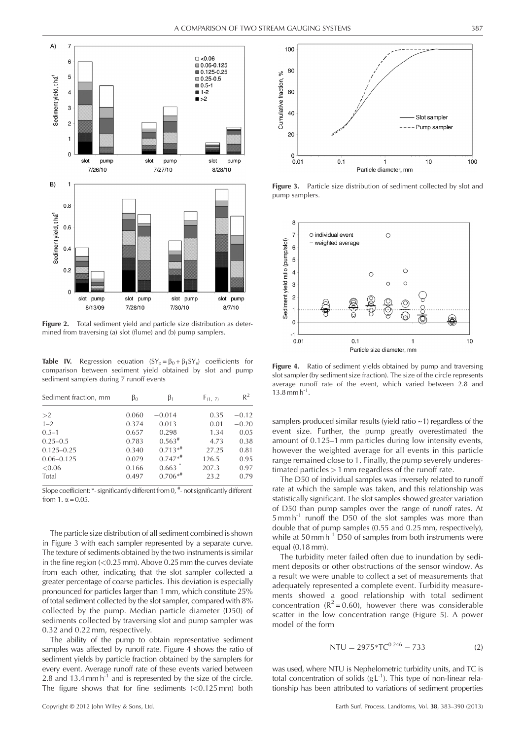

Figure 2. Total sediment vield and particle size distribution as determined from traversing (a) slot (flume) and (b) pump samplers.

**Table IV.** Regression equation  $(SY_p = \beta_0 + \beta_1 SY_s)$  coefficients for comparison between sediment yield obtained by slot and pump sediment samplers during 7 runoff events

| Sediment fraction, mm | $\beta_0$ | β1        | $F_{(1, 7)}$ | $R^2$   |
|-----------------------|-----------|-----------|--------------|---------|
| >2                    | 0.060     | $-0.014$  | 0.35         | $-0.12$ |
| $1 - 2$               | 0.374     | 0.013     | 0.01         | $-0.20$ |
| $0.5 - 1$             | 0.657     | 0.298     | 1.34         | 0.05    |
| $0.25 - 0.5$          | 0.783     | $0.563*$  | 4.73         | 0.38    |
| $0.125 - 0.25$        | 0.340     | $0.713**$ | 27.25        | 0.81    |
| $0.06 - 0.125$        | 0.079     | $0.747**$ | 126.5        | 0.95    |
| < 0.06                | 0.166     | 0.663     | 207.3        | 0.97    |
| Total                 | 0.497     | $0.706**$ | 23.2         | 0.79    |

Slope coefficient: \*- significantly different from 0,  $*$ - not significantly different from 1.  $\alpha$  = 0.05.

The particle size distribution of all sediment combined is shown in Figure 3 with each sampler represented by a separate curve. The texture of sediments obtained by the two instruments is similar in the fine region  $(< 0.25$  mm). Above 0.25 mm the curves deviate from each other, indicating that the slot sampler collected a greater percentage of coarse particles. This deviation is especially pronounced for particles larger than 1 mm, which constitute 25% of total sediment collected by the slot sampler, compared with 8% collected by the pump. Median particle diameter (D50) of sediments collected by traversing slot and pump sampler was 0.32 and 0.22 mm, respectively.

The ability of the pump to obtain representative sediment samples was affected by runoff rate. Figure 4 shows the ratio of sediment yields by particle fraction obtained by the samplers for every event. Average runoff rate of these events varied between 2.8 and  $13.4$  mm  $h^{-1}$  and is represented by the size of the circle. The figure shows that for fine sediments  $( $0.125 \text{ mm}$ )$  both



Figure 3. Particle size distribution of sediment collected by slot and pump samplers.



**Figure 4.** Ratio of sediment yields obtained by pump and traversing slot sampler (by sediment size fraction). The size of the circle represents average runoff rate of the event, which varied between 2.8 and  $13.8$  mm  $h^{-1}$ .

samplers produced similar results (yield ratio ~1) regardless of the event size. Further, the pump greatly overestimated the amount of 0.125–1 mm particles during low intensity events, however the weighted average for all events in this particle range remained close to 1. Finally, the pump severely underestimated particles > 1 mm regardless of the runoff rate.

The D50 of individual samples was inversely related to runoff rate at which the sample was taken, and this relationship was statistically significant. The slot samples showed greater variation of D50 than pump samples over the range of runoff rates. At  $5 \text{ mm h}^{-1}$  runoff the D50 of the slot samples was more than double that of pump samples (0.55 and 0.25 mm, respectively), while at  $50 \text{ mm h}^{-1}$  D50 of samples from both instruments were equal (0.18 mm).

The turbidity meter failed often due to inundation by sediment deposits or other obstructions of the sensor window. As a result we were unable to collect a set of measurements that adequately represented a complete event. Turbidity measurements showed a good relationship with total sediment concentration  $(R^2 = 0.60)$ , however there was considerable scatter in the low concentration range (Figure 5). A power model of the form

$$
NTU = 2975 * TC^{0.246} - 733
$$
 (2)

was used, where NTU is Nephelometric turbidity units, and TC is total concentration of solids  $(g L^{-1})$ . This type of non-linear relationship has been attributed to variations of sediment properties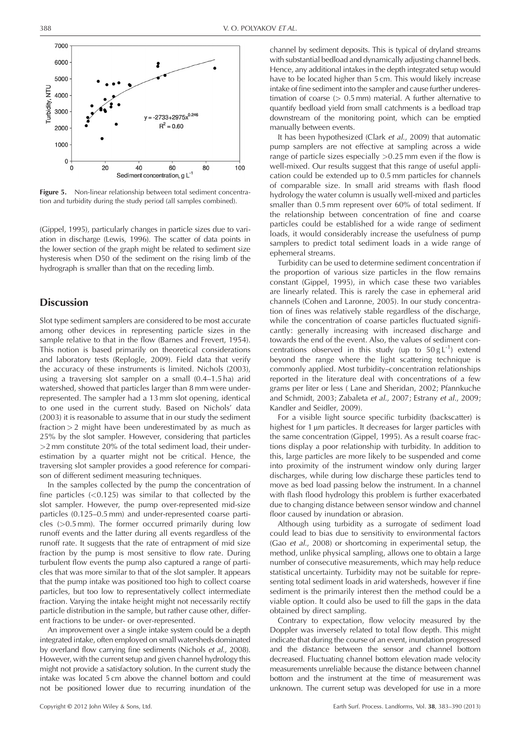

Figure 5. Non-linear relationship between total sediment concentration and turbidity during the study period (all samples combined).

(Gippel, 1995), particularly changes in particle sizes due to variation in discharge (Lewis, 1996). The scatter of data points in the lower section of the graph might be related to sediment size hysteresis when D50 of the sediment on the rising limb of the hydrograph is smaller than that on the receding limb.

# **Discussion**

Slot type sediment samplers are considered to be most accurate among other devices in representing particle sizes in the sample relative to that in the flow (Barnes and Frevert, 1954). This notion is based primarily on theoretical considerations and laboratory tests (Replogle, 2009). Field data that verify the accuracy of these instruments is limited. Nichols (2003), using a traversing slot sampler on a small (0.4–1.5 ha) arid watershed, showed that particles larger than 8 mm were underrepresented. The sampler had a 13 mm slot opening, identical to one used in the current study. Based on Nichols' data (2003) it is reasonable to assume that in our study the sediment fraction  $> 2$  might have been underestimated by as much as 25% by the slot sampler. However, considering that particles >2 mm constitute 20% of the total sediment load, their underestimation by a quarter might not be critical. Hence, the traversing slot sampler provides a good reference for comparison of different sediment measuring techniques.

In the samples collected by the pump the concentration of fine particles  $( $0.125$ ) was similar to that collected by the$ slot sampler. However, the pump over-represented mid-size particles (0.125–0.5 mm) and under-represented coarse particles  $(>0.5$  mm). The former occurred primarily during low runoff events and the latter during all events regardless of the runoff rate. It suggests that the rate of entrapment of mid size fraction by the pump is most sensitive to flow rate. During turbulent flow events the pump also captured a range of particles that was more similar to that of the slot sampler. It appears that the pump intake was positioned too high to collect coarse particles, but too low to representatively collect intermediate fraction. Varying the intake height might not necessarily rectify particle distribution in the sample, but rather cause other, different fractions to be under- or over-represented.

An improvement over a single intake system could be a depth integrated intake, often employed on small watersheds dominated by overland flow carrying fine sediments (Nichols et al., 2008). However, with the current setup and given channel hydrology this might not provide a satisfactory solution. In the current study the intake was located 5 cm above the channel bottom and could not be positioned lower due to recurring inundation of the channel by sediment deposits. This is typical of dryland streams with substantial bedload and dynamically adjusting channel beds. Hence, any additional intakes in the depth integrated setup would have to be located higher than 5 cm. This would likely increase intake of fine sediment into the sampler and cause further underestimation of coarse  $(> 0.5$  mm) material. A further alternative to quantify bedload yield from small catchments is a bedload trap downstream of the monitoring point, which can be emptied manually between events.

It has been hypothesized (Clark et al., 2009) that automatic pump samplers are not effective at sampling across a wide range of particle sizes especially >0.25 mm even if the flow is well-mixed. Our results suggest that this range of useful application could be extended up to 0.5 mm particles for channels of comparable size. In small arid streams with flash flood hydrology the water column is usually well-mixed and particles smaller than 0.5 mm represent over 60% of total sediment. If the relationship between concentration of fine and coarse particles could be established for a wide range of sediment loads, it would considerably increase the usefulness of pump samplers to predict total sediment loads in a wide range of ephemeral streams.

Turbidity can be used to determine sediment concentration if the proportion of various size particles in the flow remains constant (Gippel, 1995), in which case these two variables are linearly related. This is rarely the case in ephemeral arid channels (Cohen and Laronne, 2005). In our study concentration of fines was relatively stable regardless of the discharge, while the concentration of coarse particles fluctuated significantly: generally increasing with increased discharge and towards the end of the event. Also, the values of sediment concentrations observed in this study (up to  $50 \text{ g L}^{-1}$ ) extend beyond the range where the light scattering technique is commonly applied. Most turbidity–concentration relationships reported in the literature deal with concentrations of a few grams per liter or less ( Lane and Sheridan, 2002; Pfannkuche and Schmidt, 2003; Zabaleta et al., 2007; Estrany et al., 2009; Kandler and Seidler, 2009).

For a visible light source specific turbidity (backscatter) is highest for 1 µm particles. It decreases for larger particles with the same concentration (Gippel, 1995). As a result coarse fractions display a poor relationship with turbidity. In addition to this, large particles are more likely to be suspended and come into proximity of the instrument window only during larger discharges, while during low discharge these particles tend to move as bed load passing below the instrument. In a channel with flash flood hydrology this problem is further exacerbated due to changing distance between sensor window and channel floor caused by inundation or abrasion.

Although using turbidity as a surrogate of sediment load could lead to bias due to sensitivity to environmental factors (Gao et al., 2008) or shortcoming in experimental setup, the method, unlike physical sampling, allows one to obtain a large number of consecutive measurements, which may help reduce statistical uncertainty. Turbidity may not be suitable for representing total sediment loads in arid watersheds, however if fine sediment is the primarily interest then the method could be a viable option. It could also be used to fill the gaps in the data obtained by direct sampling.

Contrary to expectation, flow velocity measured by the Doppler was inversely related to total flow depth. This might indicate that during the course of an event, inundation progressed and the distance between the sensor and channel bottom decreased. Fluctuating channel bottom elevation made velocity measurements unreliable because the distance between channel bottom and the instrument at the time of measurement was unknown. The current setup was developed for use in a more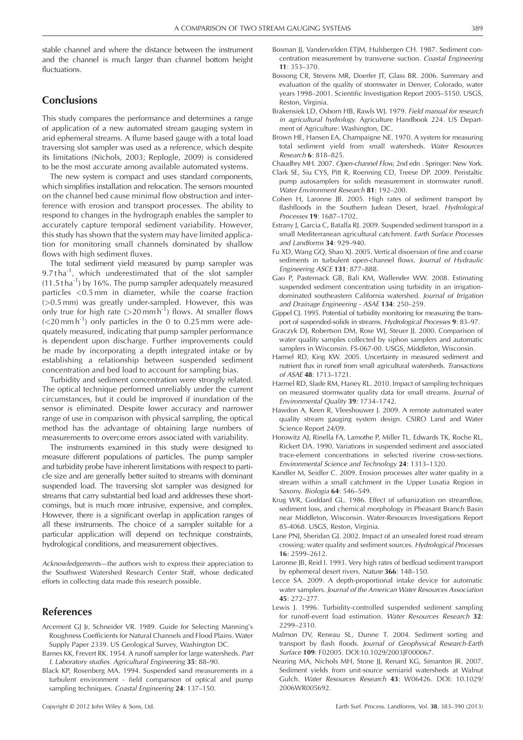stable channel and where the distance between the instrument and the channel is much larger than channel bottom height fluctuations.

# **Conclusions**

This study compares the performance and determines a range of application of a new automated stream gauging system in arid ephemeral streams. A flume based gauge with a total load traversing slot sampler was used as a reference, which despite its limitations (Nichols, 2003; Replogle, 2009) is considered to be the most accurate among available automated systems.

The new system is compact and uses standard components, which simplifies installation and relocation. The sensors mounted on the channel bed cause minimal flow obstruction and interference with erosion and transport processes. The ability to respond to changes in the hydrograph enables the sampler to accurately capture temporal sediment variability. However, this study has shown that the system may have limited application for monitoring small channels dominated by shallow flows with high sediment fluxes.

The total sediment yield measured by pump sampler was 9.7 tha $^{-1}$ , which underestimated that of the slot sampler  $(11.5 t \text{ ha}^{-1})$  by 16%. The pump sampler adequately measured particles <0.5 mm in diameter, while the coarse fraction (>0.5 mm) was greatly under-sampled. However, this was only true for high rate ( $>$ 20 mm h<sup>-1</sup>) flows. At smaller flows  $(<$ 20 mm h<sup>-1</sup>) only particles in the 0 to 0.25 mm were adequately measured, indicating that pump sampler performance is dependent upon discharge. Further improvements could be made by incorporating a depth integrated intake or by establishing a relationship between suspended sediment concentration and bed load to account for sampling bias.

Turbidity and sediment concentration were strongly related. The optical technique performed unreliably under the current circumstances, but it could be improved if inundation of the sensor is eliminated. Despite lower accuracy and narrower range of use in comparison with physical sampling, the optical method has the advantage of obtaining large numbers of measurements to overcome errors associated with variability.

The instruments examined in this study were designed to measure different populations of particles. The pump sampler and turbidity probe have inherent limitations with respect to particle size and are generally better suited to streams with dominant suspended load. The traversing slot sampler was designed for streams that carry substantial bed load and addresses these shortcomings, but is much more intrusive, expensive, and complex. However, there is a significant overlap in application ranges of all these instruments. The choice of a sampler suitable for a particular application will depend on technique constraints, hydrological conditions, and measurement objectives.

Acknowledgements—the authors wish to express their appreciation to the Southwest Watershed Research Center Staff, whose dedicated efforts in collecting data made this research possible.

# References

- Arcement GJ Jr, Schneider VR. 1989. Guide for Selecting Manning's Roughness Coefficients for Natural Channels and Flood Plains. Water Supply Paper 2339. US Geological Survey, Washington DC.
- Barnes KK, Frevert RK. 1954. A runoff sampler for large watersheds. Part I. Laboratory studies. Agricultural Engineering 35: 88–90.
- Black KP, Rosenberg MA. 1994. Suspended sand measurements in a turbulent environment - field comparison of optical and pump sampling techniques. Coastal Engineering 24: 137–150.
- Bosman JJ, Vandervelden ETJM, Hulsbergen CH. 1987. Sediment concentration measurement by transverse suction. Coastal Engineering 11: 353–370.
- Bossong CR, Stevens MR, Doerfer JT, Glass BR. 2006. Summary and evaluation of the quality of stormwater in Denver, Colorado, water years 1998–2001. Scientific Investigation Report 2005–5150. USGS, Reston, Virginia.
- Brakensiek LD, Osborn HB, Rawls WJ. 1979. Field manual for research in agricultural hydrology. Agriculture Handbook 224. US Department of Agriculture: Washington, DC.
- Brown HE, Hansen EA, Champaigne NE. 1970. A system for measuring total sediment yield from small watersheds. Water Resources Research 6: 818–825.
- Chaudhry MH. 2007. Open-channel Flow, 2nd edn . Springer: New York.
- Clark SE, Siu CYS, Pitt R, Roenning CD, Treese DP. 2009. Peristaltic pump autosamplers for solids measurement in stormwater runoff. Water Environment Research 81: 192–200.
- Cohen H, Laronne JB. 2005. High rates of sediment transport by flashfloods in the Southern Judean Desert, Israel. Hydrological Processes 19: 1687–1702.
- Estrany J, Garcia C, Batalla RJ. 2009. Suspended sediment transport in a small Mediterranean agricultural catchment. Earth Surface Processes and Landforms 34: 929–940.
- Fu XD, Wang GQ, Shao XJ. 2005. Vertical disoersion of fine and coarse sediments in turbulent open-channel flows. Journal of Hydraulic Engineering ASCE 131: 877–888.
- Gao P, Pasternack GB, Bali KM, Wallender WW. 2008. Estimating suspended sediment concentration using turbidity in an irrigationdominated southeastern California watershed. Journal of Irrigation and Drainage Engineering - ASAE 134: 250–259.
- Gippel CJ. 1995. Potential of turbidity monitoring for measuring the transport of suspended-solids in streams. Hydrological Processes 9: 83–97.
- Graczyk DJ, Robertson DM, Rose WJ, Steuer JJ. 2000. Comparison of water quality samples collected by siphon samplers and automatic samplers in Wisconsin. FS-067-00. USGS, Middleton, Wisconsin.
- Harmel RD, King KW. 2005. Uncertainty in measured sediment and nutrient flux in runoff from small agricultural watersheds. Transactions of ASAE 48: 1713–1721.
- Harmel RD, Slade RM, Haney RL. 2010. Impact of sampling techniques on measured stormwater quality data for small streams. Journal of Environmental Quality 39: 1734–1742.
- Hawdon A, Keen R, Vleeshouwer J. 2009. A remote automated water quality stream gauging system design. CSIRO Land and Water Science Report 24/09.
- Horowitz AJ, Rinella FA, Lamothe P, Miller TL, Edwards TK, Roche RL, Rickert DA. 1990. Variations in suspended sediment and associated trace-element concentrations in selected riverine cross-sections. Environmental Science and Technology 24: 1313–1320.
- Kandler M, Seidler C. 2009. Erosion processes alter water quality in a stream within a small catchment in the Upper Lusatia Region in Saxony. Biologia 64: 546–549.
- Krug WR, Goddard GL. 1986. Effect of urbanization on streamflow, sediment loss, and chemical morphology in Pheasant Branch Basin near Middleton, Wisconsin. Water-Resources Investigations Report 85-4068. USGS, Reston, Virginia.
- Lane PNJ, Sheridan GJ. 2002. Impact of an unsealed forest road stream crossing: water quality and sediment sources. Hydrological Processes 16: 2599–2612.
- Laronne JB, Reid I. 1993. Very high rates of bedload sediment transport by ephemeral desert rivers. Nature 366: 148–150.
- Lecce SA. 2009. A depth-proportional intake device for automatic water samplers. Journal of the American Water Resources Association 45: 272–277.
- Lewis J. 1996. Turbidity-controlled suspended sediment sampling for runoff-event load estimation. Water Resources Research 32: 2299–2310.
- Malmon DV, Reneau SL, Dunne T. 2004. Sediment sorting and transport by flash floods. Journal of Geophysical Research-Earth Surface 109: F02005. DOI:10.1029/2003JF000067.
- Nearing MA, Nichols MH, Stone II, Renard KG, Simanton IR, 2007. Sediment yields from unit-source semiarid watersheds at Walnut Gulch. Water Resources Research 43: W06426. DOI: 10.1029/ 2006WR005692.